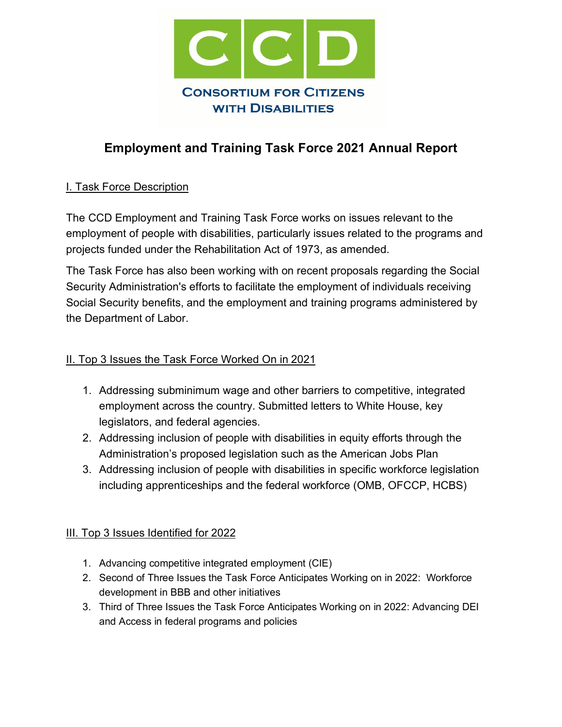

# **Employment and Training Task Force 2021 Annual Report**

## **I. Task Force Description**

The CCD Employment and Training Task Force works on issues relevant to the employment of people with disabilities, particularly issues related to the programs and projects funded under the Rehabilitation Act of 1973, as amended.

The Task Force has also been working with on recent proposals regarding the Social Security Administration's efforts to facilitate the employment of individuals receiving Social Security benefits, and the employment and training programs administered by the Department of Labor.

### II. Top 3 Issues the Task Force Worked On in 2021

- 1. Addressing subminimum wage and other barriers to competitive, integrated employment across the country. Submitted letters to White House, key legislators, and federal agencies.
- 2. Addressing inclusion of people with disabilities in equity efforts through the Administration's proposed legislation such as the American Jobs Plan
- 3. Addressing inclusion of people with disabilities in specific workforce legislation including apprenticeships and the federal workforce (OMB, OFCCP, HCBS)

#### III. Top 3 Issues Identified for 2022

- 1. Advancing competitive integrated employment (CIE)
- 2. Second of Three Issues the Task Force Anticipates Working on in 2022: Workforce development in BBB and other initiatives
- 3. Third of Three Issues the Task Force Anticipates Working on in 2022: Advancing DEI and Access in federal programs and policies